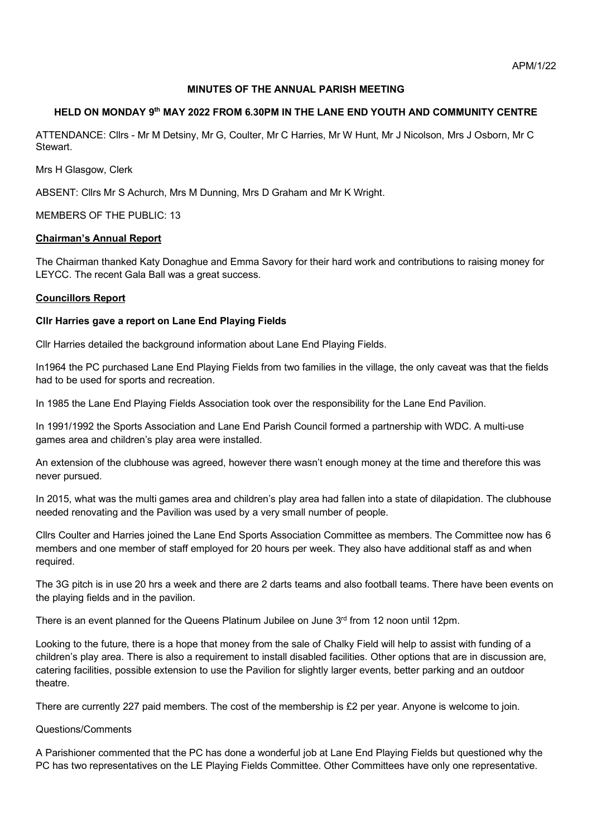# **MINUTES OF THE ANNUAL PARISH MEETING**

# **HELD ON MONDAY 9th MAY 2022 FROM 6.30PM IN THE LANE END YOUTH AND COMMUNITY CENTRE**

ATTENDANCE: Cllrs - Mr M Detsiny, Mr G, Coulter, Mr C Harries, Mr W Hunt, Mr J Nicolson, Mrs J Osborn, Mr C Stewart.

Mrs H Glasgow, Clerk

ABSENT: Cllrs Mr S Achurch, Mrs M Dunning, Mrs D Graham and Mr K Wright.

MEMBERS OF THE PUBLIC: 13

## **Chairman's Annual Report**

The Chairman thanked Katy Donaghue and Emma Savory for their hard work and contributions to raising money for LEYCC. The recent Gala Ball was a great success.

## **Councillors Report**

## **Cllr Harries gave a report on Lane End Playing Fields**

Cllr Harries detailed the background information about Lane End Playing Fields.

In1964 the PC purchased Lane End Playing Fields from two families in the village, the only caveat was that the fields had to be used for sports and recreation.

In 1985 the Lane End Playing Fields Association took over the responsibility for the Lane End Pavilion.

In 1991/1992 the Sports Association and Lane End Parish Council formed a partnership with WDC. A multi-use games area and children's play area were installed.

An extension of the clubhouse was agreed, however there wasn't enough money at the time and therefore this was never pursued.

In 2015, what was the multi games area and children's play area had fallen into a state of dilapidation. The clubhouse needed renovating and the Pavilion was used by a very small number of people.

Cllrs Coulter and Harries joined the Lane End Sports Association Committee as members. The Committee now has 6 members and one member of staff employed for 20 hours per week. They also have additional staff as and when required.

The 3G pitch is in use 20 hrs a week and there are 2 darts teams and also football teams. There have been events on the playing fields and in the pavilion.

There is an event planned for the Queens Platinum Jubilee on June 3rd from 12 noon until 12pm.

Looking to the future, there is a hope that money from the sale of Chalky Field will help to assist with funding of a children's play area. There is also a requirement to install disabled facilities. Other options that are in discussion are, catering facilities, possible extension to use the Pavilion for slightly larger events, better parking and an outdoor theatre.

There are currently 227 paid members. The cost of the membership is £2 per year. Anyone is welcome to join.

### Questions/Comments

A Parishioner commented that the PC has done a wonderful job at Lane End Playing Fields but questioned why the PC has two representatives on the LE Playing Fields Committee. Other Committees have only one representative.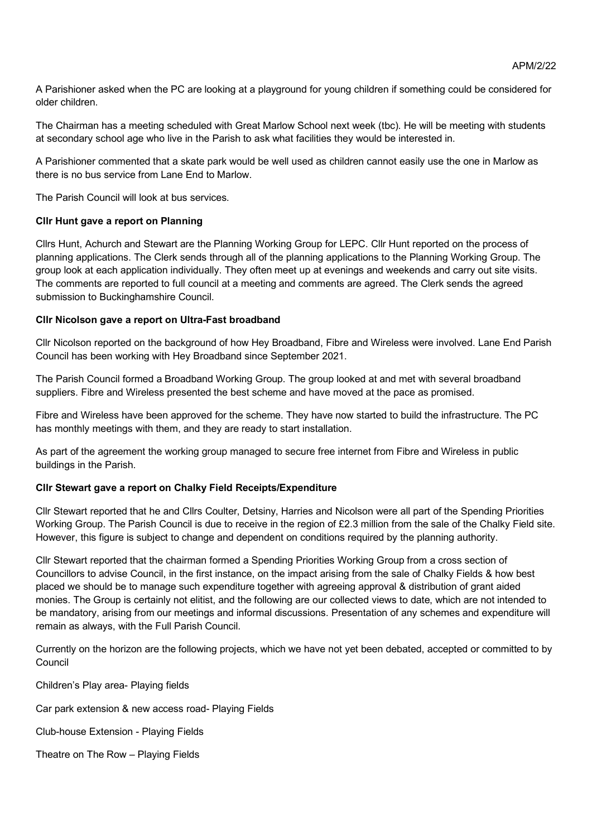A Parishioner asked when the PC are looking at a playground for young children if something could be considered for older children.

The Chairman has a meeting scheduled with Great Marlow School next week (tbc). He will be meeting with students at secondary school age who live in the Parish to ask what facilities they would be interested in.

A Parishioner commented that a skate park would be well used as children cannot easily use the one in Marlow as there is no bus service from Lane End to Marlow.

The Parish Council will look at bus services.

# **Cllr Hunt gave a report on Planning**

Cllrs Hunt, Achurch and Stewart are the Planning Working Group for LEPC. Cllr Hunt reported on the process of planning applications. The Clerk sends through all of the planning applications to the Planning Working Group. The group look at each application individually. They often meet up at evenings and weekends and carry out site visits. The comments are reported to full council at a meeting and comments are agreed. The Clerk sends the agreed submission to Buckinghamshire Council.

# **Cllr Nicolson gave a report on Ultra-Fast broadband**

Cllr Nicolson reported on the background of how Hey Broadband, Fibre and Wireless were involved. Lane End Parish Council has been working with Hey Broadband since September 2021.

The Parish Council formed a Broadband Working Group. The group looked at and met with several broadband suppliers. Fibre and Wireless presented the best scheme and have moved at the pace as promised.

Fibre and Wireless have been approved for the scheme. They have now started to build the infrastructure. The PC has monthly meetings with them, and they are ready to start installation.

As part of the agreement the working group managed to secure free internet from Fibre and Wireless in public buildings in the Parish.

# **Cllr Stewart gave a report on Chalky Field Receipts/Expenditure**

Cllr Stewart reported that he and Cllrs Coulter, Detsiny, Harries and Nicolson were all part of the Spending Priorities Working Group. The Parish Council is due to receive in the region of £2.3 million from the sale of the Chalky Field site. However, this figure is subject to change and dependent on conditions required by the planning authority.

Cllr Stewart reported that the chairman formed a Spending Priorities Working Group from a cross section of Councillors to advise Council, in the first instance, on the impact arising from the sale of Chalky Fields & how best placed we should be to manage such expenditure together with agreeing approval & distribution of grant aided monies. The Group is certainly not elitist, and the following are our collected views to date, which are not intended to be mandatory, arising from our meetings and informal discussions. Presentation of any schemes and expenditure will remain as always, with the Full Parish Council.

Currently on the horizon are the following projects, which we have not yet been debated, accepted or committed to by Council

Children's Play area- Playing fields

Car park extension & new access road- Playing Fields

Club-house Extension - Playing Fields

Theatre on The Row – Playing Fields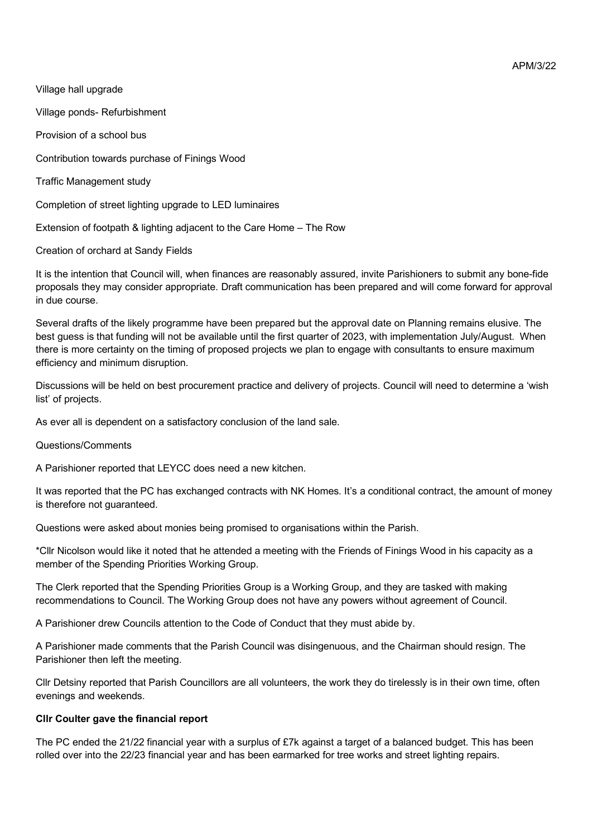Village hall upgrade

Village ponds- Refurbishment

Provision of a school bus

Contribution towards purchase of Finings Wood

Traffic Management study

Completion of street lighting upgrade to LED luminaires

Extension of footpath & lighting adjacent to the Care Home – The Row

Creation of orchard at Sandy Fields

It is the intention that Council will, when finances are reasonably assured, invite Parishioners to submit any bone-fide proposals they may consider appropriate. Draft communication has been prepared and will come forward for approval in due course.

Several drafts of the likely programme have been prepared but the approval date on Planning remains elusive. The best guess is that funding will not be available until the first quarter of 2023, with implementation July/August. When there is more certainty on the timing of proposed projects we plan to engage with consultants to ensure maximum efficiency and minimum disruption.

Discussions will be held on best procurement practice and delivery of projects. Council will need to determine a 'wish list' of projects.

As ever all is dependent on a satisfactory conclusion of the land sale.

### Questions/Comments

A Parishioner reported that LEYCC does need a new kitchen.

It was reported that the PC has exchanged contracts with NK Homes. It's a conditional contract, the amount of money is therefore not guaranteed.

Questions were asked about monies being promised to organisations within the Parish.

\*Cllr Nicolson would like it noted that he attended a meeting with the Friends of Finings Wood in his capacity as a member of the Spending Priorities Working Group.

The Clerk reported that the Spending Priorities Group is a Working Group, and they are tasked with making recommendations to Council. The Working Group does not have any powers without agreement of Council.

A Parishioner drew Councils attention to the Code of Conduct that they must abide by.

A Parishioner made comments that the Parish Council was disingenuous, and the Chairman should resign. The Parishioner then left the meeting.

Cllr Detsiny reported that Parish Councillors are all volunteers, the work they do tirelessly is in their own time, often evenings and weekends.

### **Cllr Coulter gave the financial report**

The PC ended the 21/22 financial year with a surplus of £7k against a target of a balanced budget. This has been rolled over into the 22/23 financial year and has been earmarked for tree works and street lighting repairs.